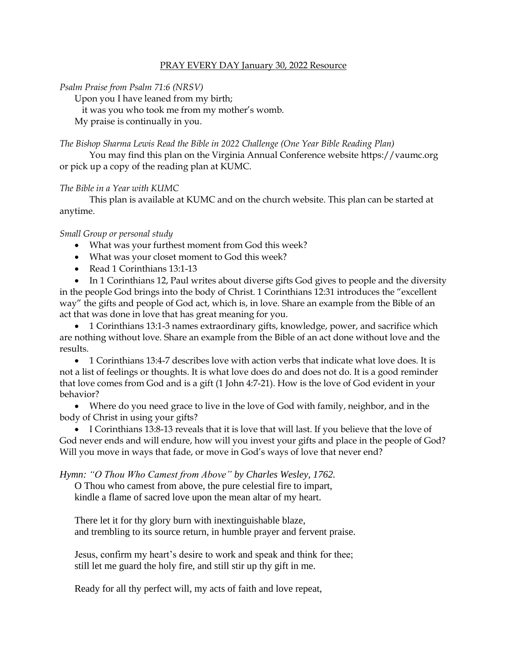## PRAY EVERY DAY January 30, 2022 Resource

## *Psalm Praise from Psalm 71:6 (NRSV)*

Upon you I have leaned from my birth;

it was you who took me from my mother's womb.

My praise is continually in you.

*The Bishop Sharma Lewis Read the Bible in 2022 Challenge (One Year Bible Reading Plan)*

You may find this plan on the Virginia Annual Conference website [https://vaumc.org](https://vaumc.org/) or pick up a copy of the reading plan at KUMC.

## *The Bible in a Year with KUMC*

This plan is available at KUMC and on the church website. This plan can be started at anytime.

## *Small Group or personal study*

- What was your furthest moment from God this week?
- What was your closet moment to God this week?
- Read 1 Corinthians 13:1-13

• In 1 Corinthians 12, Paul writes about diverse gifts God gives to people and the diversity in the people God brings into the body of Christ. 1 Corinthians 12:31 introduces the "excellent way" the gifts and people of God act, which is, in love. Share an example from the Bible of an act that was done in love that has great meaning for you.

• 1 Corinthians 13:1-3 names extraordinary gifts, knowledge, power, and sacrifice which are nothing without love. Share an example from the Bible of an act done without love and the results.

• 1 Corinthians 13:4-7 describes love with action verbs that indicate what love does. It is not a list of feelings or thoughts. It is what love does do and does not do. It is a good reminder that love comes from God and is a gift (1 John 4:7-21). How is the love of God evident in your behavior?

• Where do you need grace to live in the love of God with family, neighbor, and in the body of Christ in using your gifts?

• I Corinthians 13:8-13 reveals that it is love that will last. If you believe that the love of God never ends and will endure, how will you invest your gifts and place in the people of God? Will you move in ways that fade, or move in God's ways of love that never end?

*Hymn: "O Thou Who Camest from Above" by Charles Wesley, 1762.*

O Thou who camest from above, the pure celestial fire to impart, kindle a flame of sacred love upon the mean altar of my heart.

There let it for thy glory burn with inextinguishable blaze, and trembling to its source return, in humble prayer and fervent praise.

Jesus, confirm my heart's desire to work and speak and think for thee; still let me guard the holy fire, and still stir up thy gift in me.

Ready for all thy perfect will, my acts of faith and love repeat,